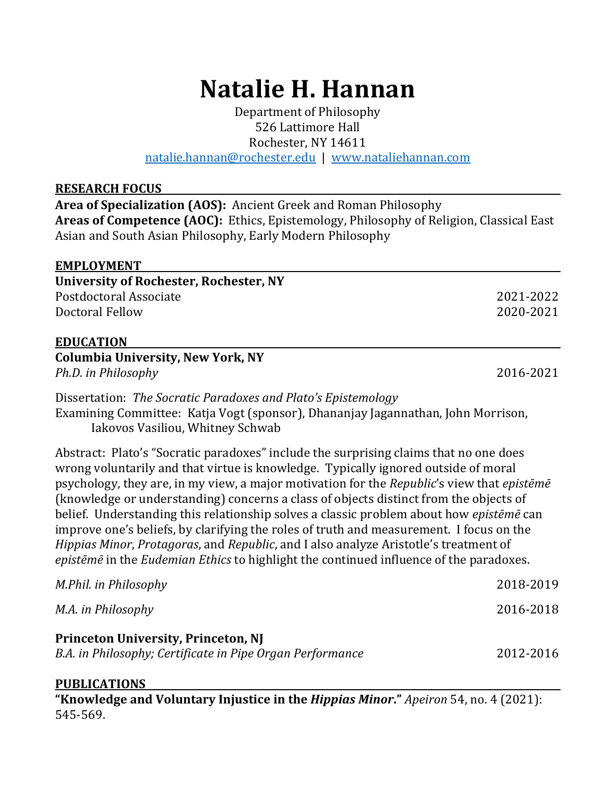# **Natalie H. Hannan**

Department of Philosophy 526 Lattimore Hall Rochester, NY 14611

natalie.hannan@rochester.edu | www.nataliehannan.com

#### **RESEARCH FOCUS**

**Area of Specialization (AOS):** Ancient Greek and Roman Philosophy Areas of Competence (AOC): Ethics, Epistemology, Philosophy of Religion, Classical East Asian and South Asian Philosophy, Early Modern Philosophy

| <b>EMPLOYMENT</b>                                                                                                    |           |
|----------------------------------------------------------------------------------------------------------------------|-----------|
| <b>University of Rochester, Rochester, NY</b>                                                                        |           |
| Postdoctoral Associate                                                                                               | 2021-2022 |
| Doctoral Fellow                                                                                                      | 2020-2021 |
| <b>EDUCATION</b>                                                                                                     |           |
| <b>Columbia University, New York, NY</b>                                                                             |           |
| Ph.D. in Philosophy                                                                                                  | 2016-2021 |
| Dissertation: The Socratic Paradoxes and Plato's Epistemology                                                        |           |
| Examining Committee: Katja Vogt (sponsor), Dhananjay Jagannathan, John Morrison,<br>Iakovos Vasiliou, Whitney Schwab |           |
| Abstract: Plato's "Socratic paradoxes" include the surprising claims that no one does                                |           |
| wrong voluntarily and that virtue is knowledge. Typically ignored outside of moral                                   |           |
| psychology, they are, in my view, a major motivation for the Republic's view that episteme                           |           |
| (knowledge or understanding) concerns a class of objects distinct from the objects of                                |           |
| belief. Understanding this relationship solves a classic problem about how <i>episteme</i> can                       |           |
| improve one's beliefs, by clarifying the roles of truth and measurement. I focus on the                              |           |
| Hippias Minor, Protagoras, and Republic, and I also analyze Aristotle's treatment of                                 |           |

*epistēmē* in the *Eudemian Ethics* to highlight the continued influence of the paradoxes.

#### **PUBLICATIONS**

**"Knowledge and Voluntary Injustice in the** *Hippias Minor***."** *Apeiron* 54, no. 4 (2021): 545-569.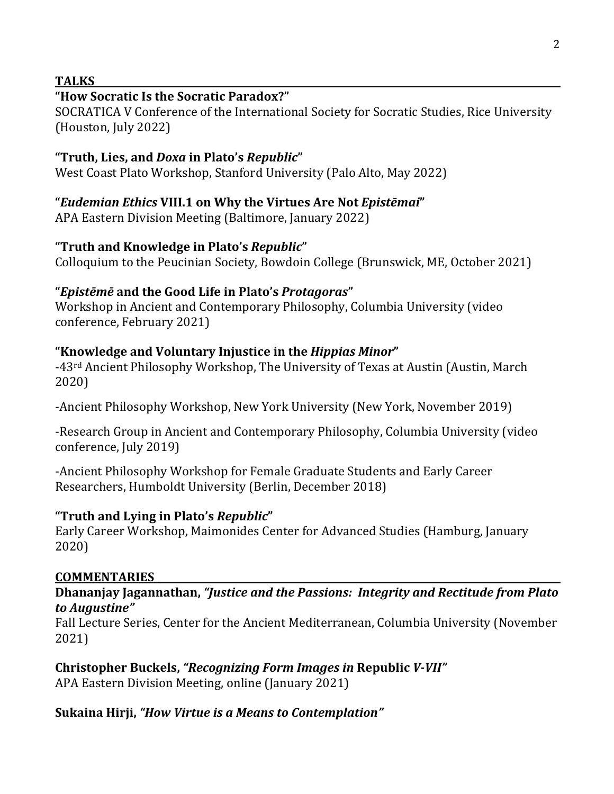#### **TALKS**

## **"How Socratic Is the Socratic Paradox?"**

SOCRATICA V Conference of the International Society for Socratic Studies, Rice University (Houston, July 2022)

## **"Truth, Lies, and** *Doxa* **in Plato's** *Republic***"**

West Coast Plato Workshop, Stanford University (Palo Alto, May 2022)

# **"***Eudemian Ethics* **VIII.1 on Why the Virtues Are Not** *Epistēmai***"**

APA Eastern Division Meeting (Baltimore, January 2022)

# **"Truth and Knowledge in Plato's** *Republic***"**

Colloquium to the Peucinian Society, Bowdoin College (Brunswick, ME, October 2021)

# **"***Epistēmē* **and the Good Life in Plato's** *Protagoras***"**

Workshop in Ancient and Contemporary Philosophy, Columbia University (video conference, February 2021)

# "Knowledge and Voluntary Injustice in the *Hippias Minor*"

-43<sup>rd</sup> Ancient Philosophy Workshop, The University of Texas at Austin (Austin, March 2020)

-Ancient Philosophy Workshop, New York University (New York, November 2019)

-Research Group in Ancient and Contemporary Philosophy, Columbia University (video conference, July 2019)

-Ancient Philosophy Workshop for Female Graduate Students and Early Career Researchers, Humboldt University (Berlin, December 2018)

# **"Truth and Lying in Plato's** *Republic***"**

Early Career Workshop, Maimonides Center for Advanced Studies (Hamburg, January 2020)

## **COMMENTARIES\_**

#### Dhananjay Jagannathan, "Justice and the Passions: Integrity and Rectitude from Plato *to Augustine"*

Fall Lecture Series, Center for the Ancient Mediterranean, Columbia University (November 2021)

**Christopher Buckels, "Recognizing Form Images in Republic** *V-VII"* APA Eastern Division Meeting, online (January 2021)

## Sukaina Hirji, "*How Virtue is a Means to Contemplation"*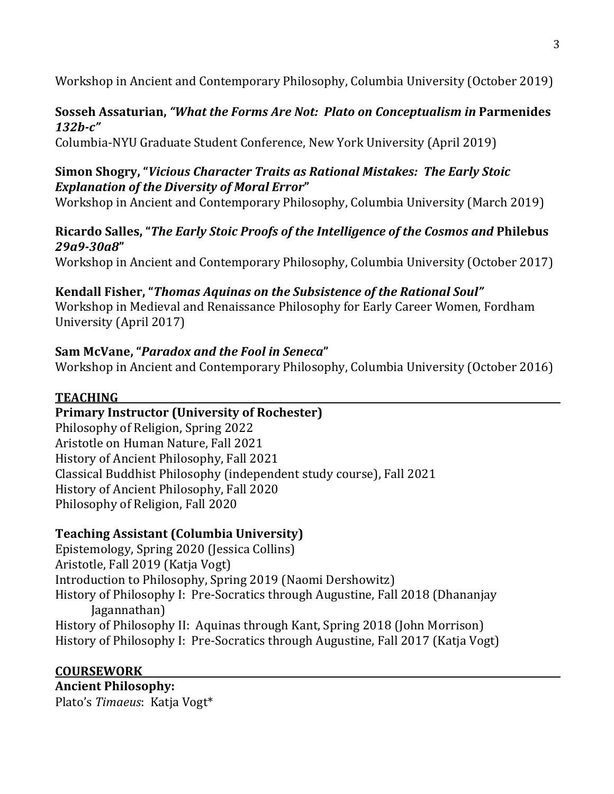Workshop in Ancient and Contemporary Philosophy, Columbia University (October 2019)

## **Sosseh Assaturian, "What the Forms Are Not: Plato on Conceptualism in Parmenides** *132b-c"*

Columbia-NYU Graduate Student Conference, New York University (April 2019)

## **Simon Shogry, "Vicious Character Traits as Rational Mistakes: The Early Stoic Explanation of the Diversity of Moral Error"**

Workshop in Ancient and Contemporary Philosophy, Columbia University (March 2019)

## Ricardo Salles, "*The Early Stoic Proofs of the Intelligence of the Cosmos and Philebus 29a9-30a8***"**

Workshop in Ancient and Contemporary Philosophy, Columbia University (October 2017)

# Kendall Fisher, "Thomas Aquinas on the Subsistence of the Rational Soul"

Workshop in Medieval and Renaissance Philosophy for Early Career Women, Fordham University (April 2017)

# **Sam McVane, "***Paradox and the Fool in Seneca***"**

Workshop in Ancient and Contemporary Philosophy, Columbia University (October 2016)

# **TEACHING**

## **Primary Instructor (University of Rochester)**

Philosophy of Religion, Spring 2022 Aristotle on Human Nature, Fall 2021 History of Ancient Philosophy, Fall 2021 Classical Buddhist Philosophy (independent study course), Fall 2021 History of Ancient Philosophy, Fall 2020 Philosophy of Religion, Fall 2020

# **Teaching Assistant (Columbia University)**

Epistemology, Spring 2020 (Jessica Collins) Aristotle, Fall 2019 (Katja Vogt) Introduction to Philosophy, Spring 2019 (Naomi Dershowitz) History of Philosophy I: Pre-Socratics through Augustine, Fall 2018 (Dhananjay Jagannathan) History of Philosophy II: Aquinas through Kant, Spring 2018 (John Morrison) History of Philosophy I: Pre-Socratics through Augustine, Fall 2017 (Katja Vogt)

**COURSEWORK Ancient Philosophy:** Plato's Timaeus: Katja Vogt<sup>\*</sup>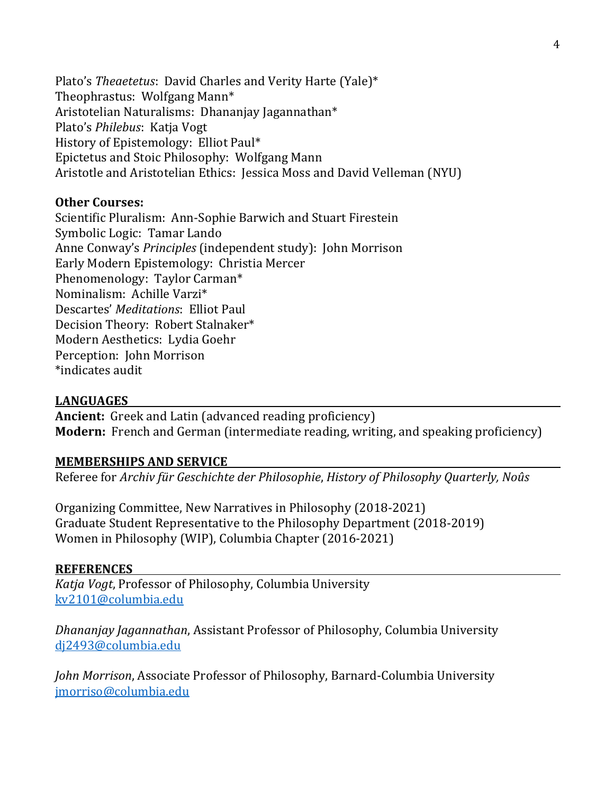Plato's *Theaetetus*: David Charles and Verity Harte (Yale)\* Theophrastus: Wolfgang Mann\* Aristotelian Naturalisms: Dhananjay Jagannathan\* Plato's *Philebus*: Katja Vogt History of Epistemology: Elliot Paul\* Epictetus and Stoic Philosophy: Wolfgang Mann Aristotle and Aristotelian Ethics: Jessica Moss and David Velleman (NYU)

#### **Other Courses:**

Scientific Pluralism: Ann-Sophie Barwich and Stuart Firestein Symbolic Logic: Tamar Lando Anne Conway's *Principles* (independent study): John Morrison Early Modern Epistemology: Christia Mercer Phenomenology: Taylor Carman\* Nominalism: Achille Varzi\* Descartes' *Meditations*: Elliot Paul Decision Theory: Robert Stalnaker\* Modern Aesthetics: Lydia Goehr Perception: John Morrison \*indicates audit

#### **LANGUAGES**

**Ancient:** Greek and Latin (advanced reading proficiency) **Modern:** French and German (intermediate reading, writing, and speaking proficiency)

#### **MEMBERSHIPS AND SERVICE**

Referee for Archiv für Geschichte der Philosophie, History of Philosophy Quarterly, Noûs

Organizing Committee, New Narratives in Philosophy (2018-2021) Graduate Student Representative to the Philosophy Department (2018-2019) Women in Philosophy (WIP), Columbia Chapter (2016-2021)

#### **REFERENCES**

*Katja Vogt*, Professor of Philosophy, Columbia University kv2101@columbia.edu

*Dhananjay Jagannathan, Assistant Professor of Philosophy, Columbia University* dj2493@columbia.edu

John Morrison, Associate Professor of Philosophy, Barnard-Columbia University jmorriso@columbia.edu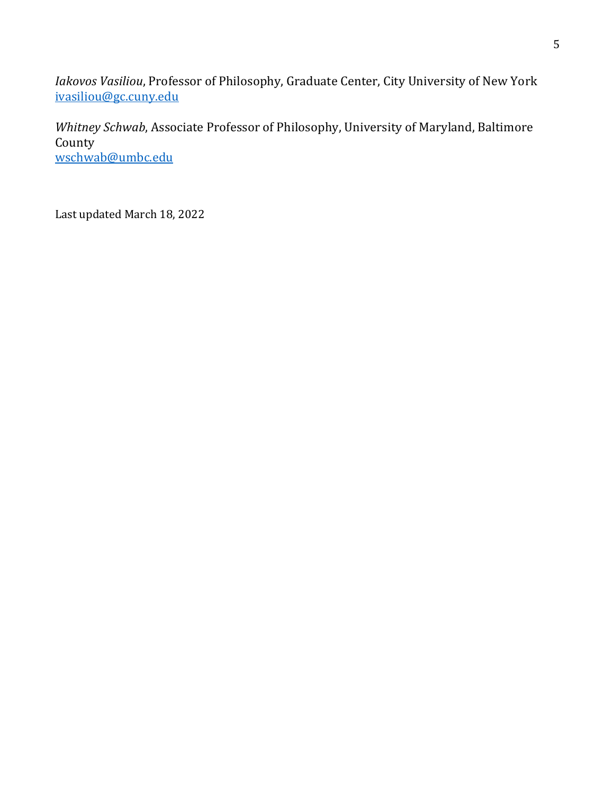*Iakovos Vasiliou*, Professor of Philosophy, Graduate Center, City University of New York ivasiliou@gc.cuny.edu

*Whitney Schwab*, Associate Professor of Philosophy, University of Maryland, Baltimore County wschwab@umbc.edu

Last updated March 18, 2022